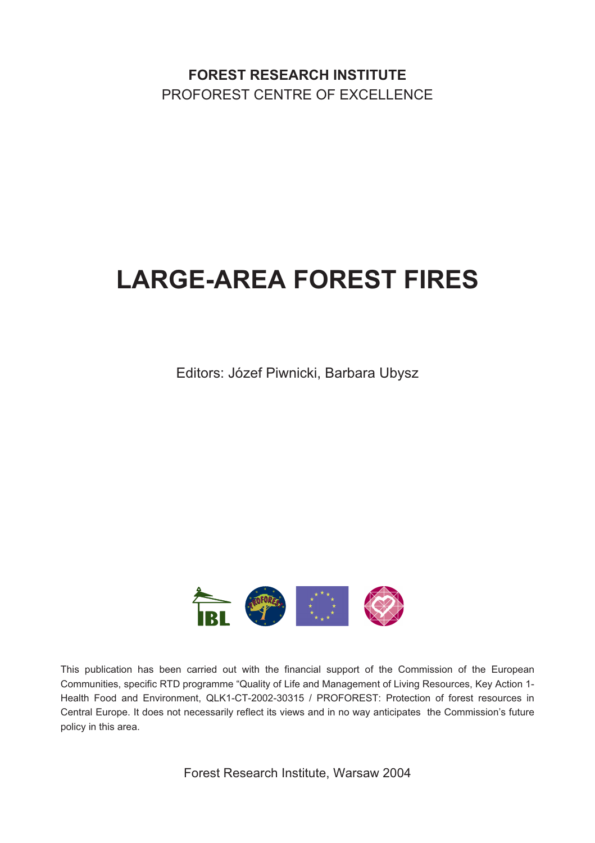**FOREST RESEARCH INSTITUTE** PROFOREST CENTRE OF EXCELLENCE

# **LARGE-AREA FOREST FIRES**

Editors: Józef Piwnicki, Barbara Ubysz



This publication has been carried out with the financial support of the Commission of the European Communities, specific RTD programme "Quality of Life and Management of Living Resources, Key Action 1- Health Food and Environment, QLK1-CT-2002-30315 / PROFOREST: Protection of forest resources in Central Europe. It does not necessarily reflect its views and in no way anticipates the Commission's future policy in this area.

Forest Research Institute, Warsaw 2004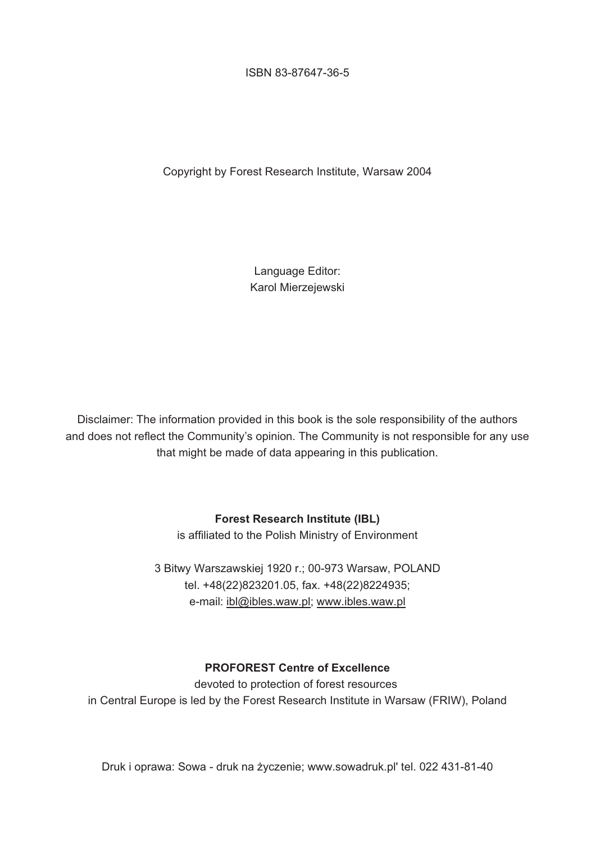ISBN 83-87647-36-5

Copyright by Forest Research Institute, Warsaw 2004

Language Editor: Karol Mierzejewski

Disclaimer: The information provided in this book is the sole responsibility of the authors and does not reflect the Community's opinion. The Community is not responsible for any use that might be made of data appearing in this publication.

#### **Forest Research Institute (IBL)**

is affiliated to the Polish Ministry of Environment

3 Bitwy Warszawskiej 1920 r.; 00-973 Warsaw, POLAND tel. +48(22)823201.05, fax. +48(22)8224935; e-mail: ibl@ibles.waw.pl; www.ibles.waw.pl

#### **PROFOREST Centre of Excellence**

devoted to protection of forest resources in Central Europe is led by the Forest Research Institute in Warsaw (FRIW), Poland

Druk i oprawa: Sowa - druk na życzenie; www.sowadruk.pl' tel. 022 431-81-40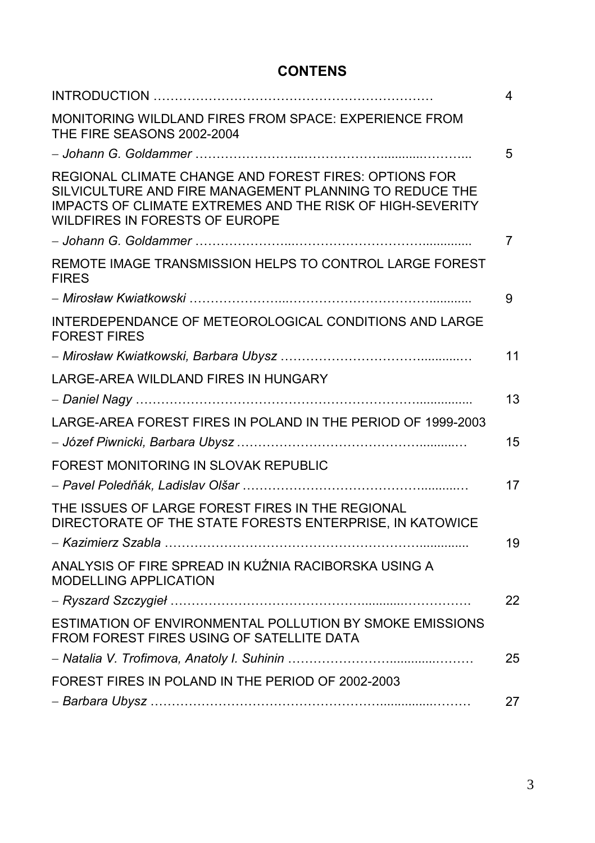## **CONTENS**

|                                                                                                                                                                                                                 | 4  |
|-----------------------------------------------------------------------------------------------------------------------------------------------------------------------------------------------------------------|----|
| MONITORING WILDLAND FIRES FROM SPACE: EXPERIENCE FROM<br>THE FIRE SEASONS 2002-2004                                                                                                                             |    |
|                                                                                                                                                                                                                 | 5  |
| REGIONAL CLIMATE CHANGE AND FOREST FIRES: OPTIONS FOR<br>SILVICULTURE AND FIRE MANAGEMENT PLANNING TO REDUCE THE<br>IMPACTS OF CLIMATE EXTREMES AND THE RISK OF HIGH-SEVERITY<br>WILDFIRES IN FORESTS OF EUROPE |    |
|                                                                                                                                                                                                                 | 7  |
| REMOTE IMAGE TRANSMISSION HELPS TO CONTROL LARGE FOREST<br><b>FIRES</b>                                                                                                                                         |    |
|                                                                                                                                                                                                                 | 9  |
| INTERDEPENDANCE OF METEOROLOGICAL CONDITIONS AND LARGE<br><b>FOREST FIRES</b>                                                                                                                                   |    |
|                                                                                                                                                                                                                 | 11 |
| LARGE-AREA WILDLAND FIRES IN HUNGARY                                                                                                                                                                            |    |
|                                                                                                                                                                                                                 | 13 |
| LARGE-AREA FOREST FIRES IN POLAND IN THE PERIOD OF 1999-2003                                                                                                                                                    | 15 |
| FOREST MONITORING IN SLOVAK REPUBLIC                                                                                                                                                                            |    |
|                                                                                                                                                                                                                 | 17 |
| THE ISSUES OF LARGE FOREST FIRES IN THE REGIONAL<br>DIRECTORATE OF THE STATE FORESTS ENTERPRISE, IN KATOWICE                                                                                                    |    |
|                                                                                                                                                                                                                 | 19 |
| ANALYSIS OF FIRE SPREAD IN KUŹNIA RACIBORSKA USING A<br><b>MODELLING APPLICATION</b>                                                                                                                            |    |
|                                                                                                                                                                                                                 | 22 |
| ESTIMATION OF ENVIRONMENTAL POLLUTION BY SMOKE EMISSIONS<br>FROM FOREST FIRES USING OF SATELLITE DATA                                                                                                           |    |
|                                                                                                                                                                                                                 | 25 |
| FOREST FIRES IN POLAND IN THE PERIOD OF 2002-2003                                                                                                                                                               |    |
|                                                                                                                                                                                                                 | 27 |